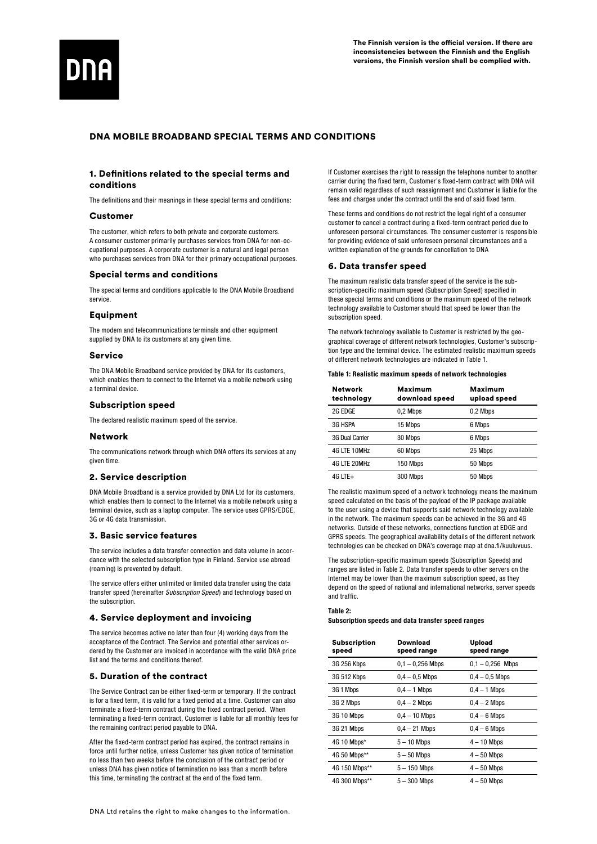

# DNA MOBILE BROADBAND SPECIAL TERMS AND CONDITIONS

# 1. Definitions related to the special terms and conditions

The definitions and their meanings in these special terms and conditions:

## Customer

The customer, which refers to both private and corporate customers. A consumer customer primarily purchases services from DNA for non-occupational purposes. A corporate customer is a natural and legal person who purchases services from DNA for their primary occupational purposes.

### Special terms and conditions

The special terms and conditions applicable to the DNA Mobile Broadband service.

## **Equipment**

The modem and telecommunications terminals and other equipment supplied by DNA to its customers at any given time.

### Service

The DNA Mobile Broadband service provided by DNA for its customers, which enables them to connect to the Internet via a mobile network using a terminal device.

# Subscription speed

The declared realistic maximum speed of the service.

# **Network**

The communications network through which DNA offers its services at any given time.

### 2. Service description

DNA Mobile Broadband is a service provided by DNA Ltd for its customers, which enables them to connect to the Internet via a mobile network using a terminal device, such as a laptop computer. The service uses GPRS/EDGE 3G or 4G data transmission.

## 3. Basic service features

The service includes a data transfer connection and data volume in accordance with the selected subscription type in Finland. Service use abroad (roaming) is prevented by default.

The service offers either unlimited or limited data transfer using the data transfer speed (hereinafter *Subscription Speed*) and technology based on the subscription.

# 4. Service deployment and invoicing

The service becomes active no later than four (4) working days from the acceptance of the Contract. The Service and potential other services ordered by the Customer are invoiced in accordance with the valid DNA price list and the terms and conditions thereof.

## 5. Duration of the contract

The Service Contract can be either fixed-term or temporary. If the contract is for a fixed term, it is valid for a fixed period at a time. Customer can also terminate a fixed-term contract during the fixed contract period. When terminating a fixed-term contract, Customer is liable for all monthly fees for the remaining contract period payable to DNA.

After the fixed-term contract period has expired, the contract remains in force until further notice, unless Customer has given notice of termination no less than two weeks before the conclusion of the contract period or unless DNA has given notice of termination no less than a month before this time, terminating the contract at the end of the fixed term.

If Customer exercises the right to reassign the telephone number to another carrier during the fixed term, Customer's fixed-term contract with DNA will remain valid regardless of such reassignment and Customer is liable for the fees and charges under the contract until the end of said fixed term.

These terms and conditions do not restrict the legal right of a consumer customer to cancel a contract during a fixed-term contract period due to unforeseen personal circumstances. The consumer customer is responsible for providing evidence of said unforeseen personal circumstances and a written explanation of the grounds for cancellation to DNA

## 6. Data transfer speed

The maximum realistic data transfer speed of the service is the subscription-specific maximum speed (Subscription Speed) specified in these special terms and conditions or the maximum speed of the network technology available to Customer should that speed be lower than the subscription speed.

The network technology available to Customer is restricted by the geographical coverage of different network technologies, Customer's subscription type and the terminal device. The estimated realistic maximum speeds of different network technologies are indicated in Table 1.

|  |  | Table 1: Realistic maximum speeds of network technologies |  |  |
|--|--|-----------------------------------------------------------|--|--|
|--|--|-----------------------------------------------------------|--|--|

| <b>Network</b><br>technology | Maximum<br>download speed | Maximum<br>upload speed |
|------------------------------|---------------------------|-------------------------|
| 2G EDGE                      | 0.2 Mbps                  | 0.2 Mbps                |
| 3G HSPA                      | 15 Mbps                   | 6 Mbps                  |
| 3G Dual Carrier              | 30 Mbps                   | 6 Mbps                  |
| 4G LTE 10MHz                 | 60 Mbps                   | 25 Mbps                 |
| 4G LTE 20MHz                 | 150 Mbps                  | 50 Mbps                 |
| $4G$ LTE+                    | 300 Mbps                  | 50 Mbps                 |

The realistic maximum speed of a network technology means the maximum speed calculated on the basis of the payload of the IP package available to the user using a device that supports said network technology available in the network. The maximum speeds can be achieved in the 3G and 4G networks. Outside of these networks, connections function at EDGE and GPRS speeds. The geographical availability details of the different network technologies can be checked on DNA's coverage map at dna.fi/kuuluvuus.

The subscription-specific maximum speeds (Subscription Speeds) and ranges are listed in Table 2. Data transfer speeds to other servers on the Internet may be lower than the maximum subscription speed, as they depend on the speed of national and international networks, server speeds and traffic.

#### Table 2:

Subscription speeds and data transfer speed ranges

| <b>Subscription</b><br>speed | Download<br>speed range | Upload<br>speed range |
|------------------------------|-------------------------|-----------------------|
| 3G 256 Kbps                  | $0.1 - 0.256$ Mbps      | $0.1 - 0.256$ Mbps    |
| 3G 512 Kbps                  | $0.4 - 0.5$ Mbps        | $0.4 - 0.5$ Mbps      |
| 3G 1 Mbps                    | $0.4 - 1$ Mbps          | $0.4 - 1$ Mbps        |
| 3G 2 Mbps                    | $0.4 - 2$ Mbps          | $0.4 - 2$ Mbps        |
| 3G 10 Mbps                   | $0.4 - 10$ Mbps         | $0.4 - 6$ Mbps        |
| 3G 21 Mbps                   | $0.4 - 21$ Mbps         | $0.4 - 6$ Mbps        |
| 4G 10 Mbps*                  | $5 - 10$ Mbps           | $4 - 10$ Mbps         |
| 4G 50 Mbps**                 | $5 - 50$ Mbps           | $4 - 50$ Mbps         |
| 4G 150 Mbps**                | $5 - 150$ Mbps          | $4 - 50$ Mbps         |
| 4G 300 Mbps**                | $5 - 300$ Mbps          | $4 - 50$ Mbps         |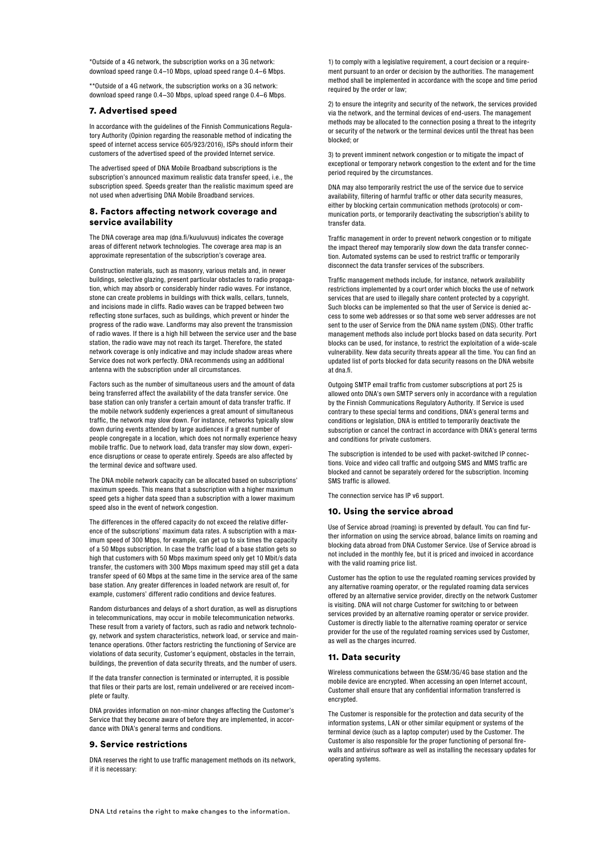\*Outside of a 4G network, the subscription works on a 3G network: download speed range 0.4–10 Mbps, upload speed range 0.4–6 Mbps.

\*\*Outside of a 4G network, the subscription works on a 3G network: download speed range 0.4–30 Mbps, upload speed range 0.4–6 Mbps.

## 7. Advertised speed

In accordance with the guidelines of the Finnish Communications Regulatory Authority (Opinion regarding the reasonable method of indicating the speed of internet access service 605/923/2016), ISPs should inform their customers of the advertised speed of the provided Internet service.

The advertised speed of DNA Mobile Broadband subscriptions is the subscription's announced maximum realistic data transfer speed, i.e., the subscription speed. Speeds greater than the realistic maximum speed are not used when advertising DNA Mobile Broadband services.

# 8. Factors affecting network coverage and service availability

The DNA coverage area map (dna.fi/kuuluvuus) indicates the coverage areas of different network technologies. The coverage area map is an approximate representation of the subscription's coverage area.

Construction materials, such as masonry, various metals and, in newer buildings, selective glazing, present particular obstacles to radio propagation, which may absorb or considerably hinder radio waves. For instance, stone can create problems in buildings with thick walls, cellars, tunnels, and incisions made in cliffs. Radio waves can be trapped between two reflecting stone surfaces, such as buildings, which prevent or hinder the progress of the radio wave. Landforms may also prevent the transmission of radio waves. If there is a high hill between the service user and the base station, the radio wave may not reach its target. Therefore, the stated network coverage is only indicative and may include shadow areas where Service does not work perfectly. DNA recommends using an additional antenna with the subscription under all circumstances.

Factors such as the number of simultaneous users and the amount of data being transferred affect the availability of the data transfer service. One base station can only transfer a certain amount of data transfer traffic. If the mobile network suddenly experiences a great amount of simultaneous traffic, the network may slow down. For instance, networks typically slow down during events attended by large audiences if a great number of people congregate in a location, which does not normally experience heavy mobile traffic. Due to network load, data transfer may slow down, experience disruptions or cease to operate entirely. Speeds are also affected by the terminal device and software used.

The DNA mobile network capacity can be allocated based on subscriptions' maximum speeds. This means that a subscription with a higher maximum speed gets a higher data speed than a subscription with a lower maximum speed also in the event of network congestion.

The differences in the offered capacity do not exceed the relative difference of the subscriptions' maximum data rates. A subscription with a maximum speed of 300 Mbps, for example, can get up to six times the capacity of a 50 Mbps subscription. In case the traffic load of a base station gets so high that customers with 50 Mbps maximum speed only get 10 Mbit/s data transfer, the customers with 300 Mbps maximum speed may still get a data transfer speed of 60 Mbps at the same time in the service area of the same base station. Any greater differences in loaded network are result of, for example, customers' different radio conditions and device features.

Random disturbances and delays of a short duration, as well as disruptions in telecommunications, may occur in mobile telecommunication networks. These result from a variety of factors, such as radio and network technology, network and system characteristics, network load, or service and maintenance operations. Other factors restricting the functioning of Service are violations of data security, Customer's equipment, obstacles in the terrain, buildings, the prevention of data security threats, and the number of users.

If the data transfer connection is terminated or interrupted, it is possible that files or their parts are lost, remain undelivered or are received incomplete or faulty.

DNA provides information on non-minor changes affecting the Customer's Service that they become aware of before they are implemented, in accordance with DNA's general terms and conditions.

### 9. Service restrictions

DNA reserves the right to use traffic management methods on its network, if it is necessary:

1) to comply with a legislative requirement, a court decision or a requirement pursuant to an order or decision by the authorities. The management method shall be implemented in accordance with the scope and time period required by the order or law;

2) to ensure the integrity and security of the network, the services provided via the network, and the terminal devices of end-users. The management methods may be allocated to the connection posing a threat to the integrity or security of the network or the terminal devices until the threat has been blocked; or

3) to prevent imminent network congestion or to mitigate the impact of exceptional or temporary network congestion to the extent and for the time period required by the circumstances.

DNA may also temporarily restrict the use of the service due to service availability, filtering of harmful traffic or other data security measures, either by blocking certain communication methods (protocols) or communication ports, or temporarily deactivating the subscription's ability to transfer data.

Traffic management in order to prevent network congestion or to mitigate the impact thereof may temporarily slow down the data transfer connection. Automated systems can be used to restrict traffic or temporarily disconnect the data transfer services of the subscribers.

Traffic management methods include, for instance, network availability restrictions implemented by a court order which blocks the use of network services that are used to illegally share content protected by a copyright. Such blocks can be implemented so that the user of Service is denied access to some web addresses or so that some web server addresses are not sent to the user of Service from the DNA name system (DNS). Other traffic management methods also include port blocks based on data security. Port blocks can be used, for instance, to restrict the exploitation of a wide-scale vulnerability. New data security threats appear all the time. You can find an updated list of ports blocked for data security reasons on the DNA website at dna.fi.

Outgoing SMTP email traffic from customer subscriptions at port 25 is allowed onto DNA's own SMTP servers only in accordance with a regulation by the Finnish Communications Regulatory Authority. If Service is used contrary to these special terms and conditions, DNA's general terms and conditions or legislation, DNA is entitled to temporarily deactivate the subscription or cancel the contract in accordance with DNA's general terms and conditions for private customers.

The subscription is intended to be used with packet-switched IP connections. Voice and video call traffic and outgoing SMS and MMS traffic are blocked and cannot be separately ordered for the subscription. Incoming SMS traffic is allowed.

The connection service has IP v6 support.

# 10. Using the service abroad

Use of Service abroad (roaming) is prevented by default. You can find further information on using the service abroad, balance limits on roaming and blocking data abroad from DNA Customer Service. Use of Service abroad is not included in the monthly fee, but it is priced and invoiced in accordance with the valid roaming price list.

Customer has the option to use the regulated roaming services provided by any alternative roaming operator, or the regulated roaming data services offered by an alternative service provider, directly on the network Customer is visiting. DNA will not charge Customer for switching to or between services provided by an alternative roaming operator or service provider. Customer is directly liable to the alternative roaming operator or service provider for the use of the regulated roaming services used by Customer, as well as the charges incurred.

### 11. Data security

Wireless communications between the GSM/3G/4G base station and the mobile device are encrypted. When accessing an open Internet account, Customer shall ensure that any confidential information transferred is encrypted.

The Customer is responsible for the protection and data security of the information systems, LAN or other similar equipment or systems of the terminal device (such as a laptop computer) used by the Customer. The Customer is also responsible for the proper functioning of personal firewalls and antivirus software as well as installing the necessary updates for operating systems.